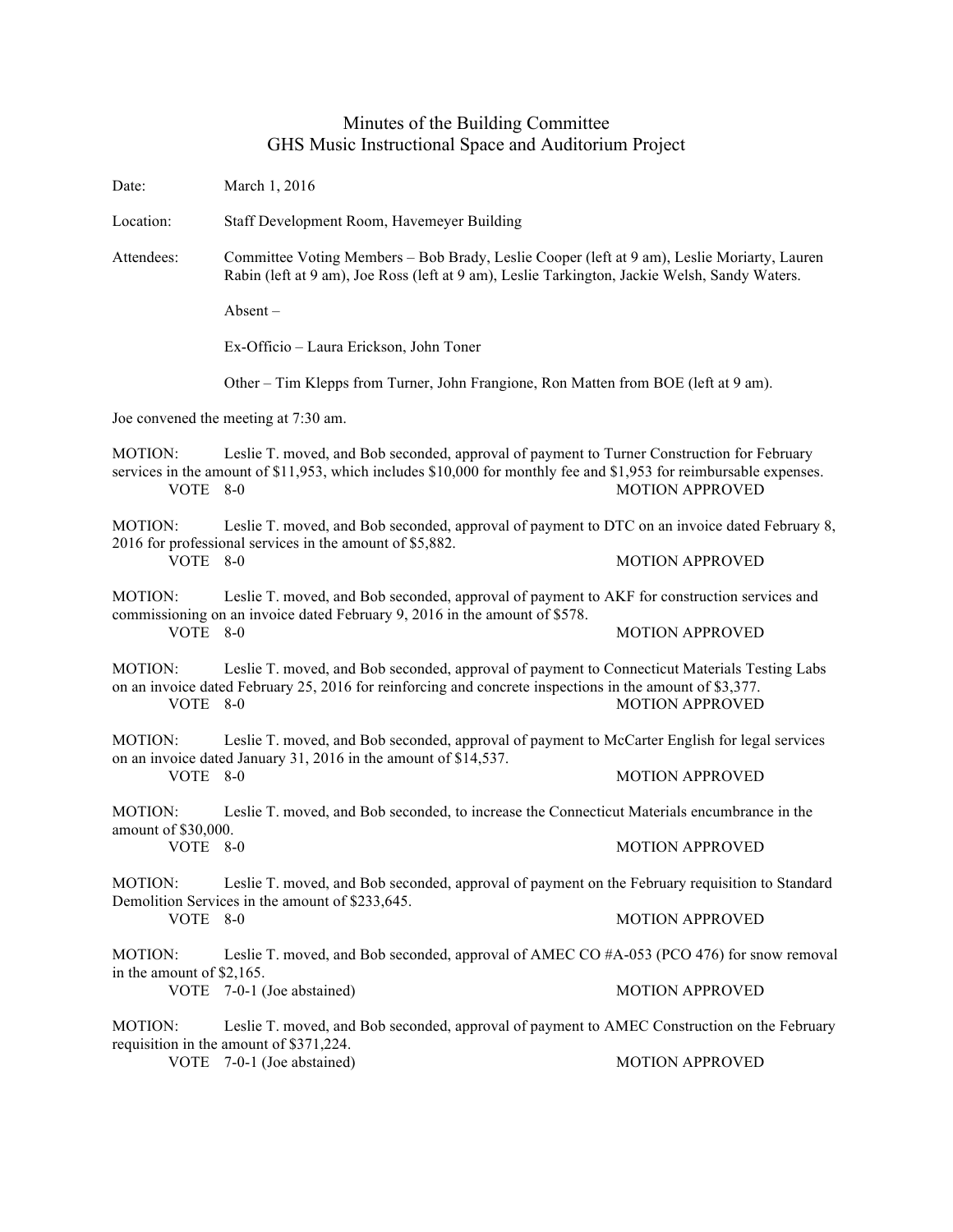## Minutes of the Building Committee GHS Music Instructional Space and Auditorium Project

| Date:                                                                                                                                                                              | March 1, 2016                                                                                                                                                                                                                              |                                                                                             |  |
|------------------------------------------------------------------------------------------------------------------------------------------------------------------------------------|--------------------------------------------------------------------------------------------------------------------------------------------------------------------------------------------------------------------------------------------|---------------------------------------------------------------------------------------------|--|
| Location:                                                                                                                                                                          | Staff Development Room, Havemeyer Building                                                                                                                                                                                                 |                                                                                             |  |
| Attendees:                                                                                                                                                                         | Committee Voting Members - Bob Brady, Leslie Cooper (left at 9 am), Leslie Moriarty, Lauren<br>Rabin (left at 9 am), Joe Ross (left at 9 am), Leslie Tarkington, Jackie Welsh, Sandy Waters.<br>$Absent -$                                 |                                                                                             |  |
|                                                                                                                                                                                    |                                                                                                                                                                                                                                            |                                                                                             |  |
|                                                                                                                                                                                    | Ex-Officio - Laura Erickson, John Toner                                                                                                                                                                                                    |                                                                                             |  |
|                                                                                                                                                                                    | Other – Tim Klepps from Turner, John Frangione, Ron Matten from BOE (left at 9 am).                                                                                                                                                        |                                                                                             |  |
| Joe convened the meeting at 7:30 am.                                                                                                                                               |                                                                                                                                                                                                                                            |                                                                                             |  |
| <b>MOTION:</b><br>VOTE 8-0                                                                                                                                                         | Leslie T. moved, and Bob seconded, approval of payment to Turner Construction for February<br>services in the amount of \$11,953, which includes \$10,000 for monthly fee and \$1,953 for reimbursable expenses.<br><b>MOTION APPROVED</b> |                                                                                             |  |
| <b>MOTION:</b>                                                                                                                                                                     | Leslie T. moved, and Bob seconded, approval of payment to DTC on an invoice dated February 8,                                                                                                                                              |                                                                                             |  |
| VOTE 8-0                                                                                                                                                                           | 2016 for professional services in the amount of \$5,882.                                                                                                                                                                                   | <b>MOTION APPROVED</b>                                                                      |  |
| MOTION:                                                                                                                                                                            | Leslie T. moved, and Bob seconded, approval of payment to AKF for construction services and<br>commissioning on an invoice dated February 9, 2016 in the amount of \$578.                                                                  |                                                                                             |  |
| VOTE 8-0                                                                                                                                                                           |                                                                                                                                                                                                                                            | <b>MOTION APPROVED</b>                                                                      |  |
| <b>MOTION:</b><br>VOTE 8-0                                                                                                                                                         | Leslie T. moved, and Bob seconded, approval of payment to Connecticut Materials Testing Labs<br>on an invoice dated February 25, 2016 for reinforcing and concrete inspections in the amount of \$3,377.                                   | <b>MOTION APPROVED</b>                                                                      |  |
| Leslie T. moved, and Bob seconded, approval of payment to McCarter English for legal services<br><b>MOTION:</b><br>on an invoice dated January 31, 2016 in the amount of \$14,537. |                                                                                                                                                                                                                                            |                                                                                             |  |
| VOTE 8-0                                                                                                                                                                           |                                                                                                                                                                                                                                            | <b>MOTION APPROVED</b>                                                                      |  |
| <b>MOTION:</b><br>amount of \$30,000.                                                                                                                                              | Leslie T. moved, and Bob seconded, to increase the Connecticut Materials encumbrance in the                                                                                                                                                |                                                                                             |  |
| VOTE 8-0                                                                                                                                                                           |                                                                                                                                                                                                                                            | <b>MOTION APPROVED</b>                                                                      |  |
| <b>MOTION:</b>                                                                                                                                                                     | Leslie T. moved, and Bob seconded, approval of payment on the February requisition to Standard                                                                                                                                             |                                                                                             |  |
| VOTE 8-0                                                                                                                                                                           | Demolition Services in the amount of \$233,645.                                                                                                                                                                                            | <b>MOTION APPROVED</b>                                                                      |  |
| MOTION:                                                                                                                                                                            | Leslie T. moved, and Bob seconded, approval of AMEC CO #A-053 (PCO 476) for snow removal                                                                                                                                                   |                                                                                             |  |
| in the amount of \$2,165.                                                                                                                                                          | VOTE 7-0-1 (Joe abstained)                                                                                                                                                                                                                 | <b>MOTION APPROVED</b>                                                                      |  |
| <b>MOTION:</b>                                                                                                                                                                     |                                                                                                                                                                                                                                            | Leslie T. moved, and Bob seconded, approval of payment to AMEC Construction on the February |  |
|                                                                                                                                                                                    | requisition in the amount of \$371,224.<br>VOTE 7-0-1 (Joe abstained)                                                                                                                                                                      | <b>MOTION APPROVED</b>                                                                      |  |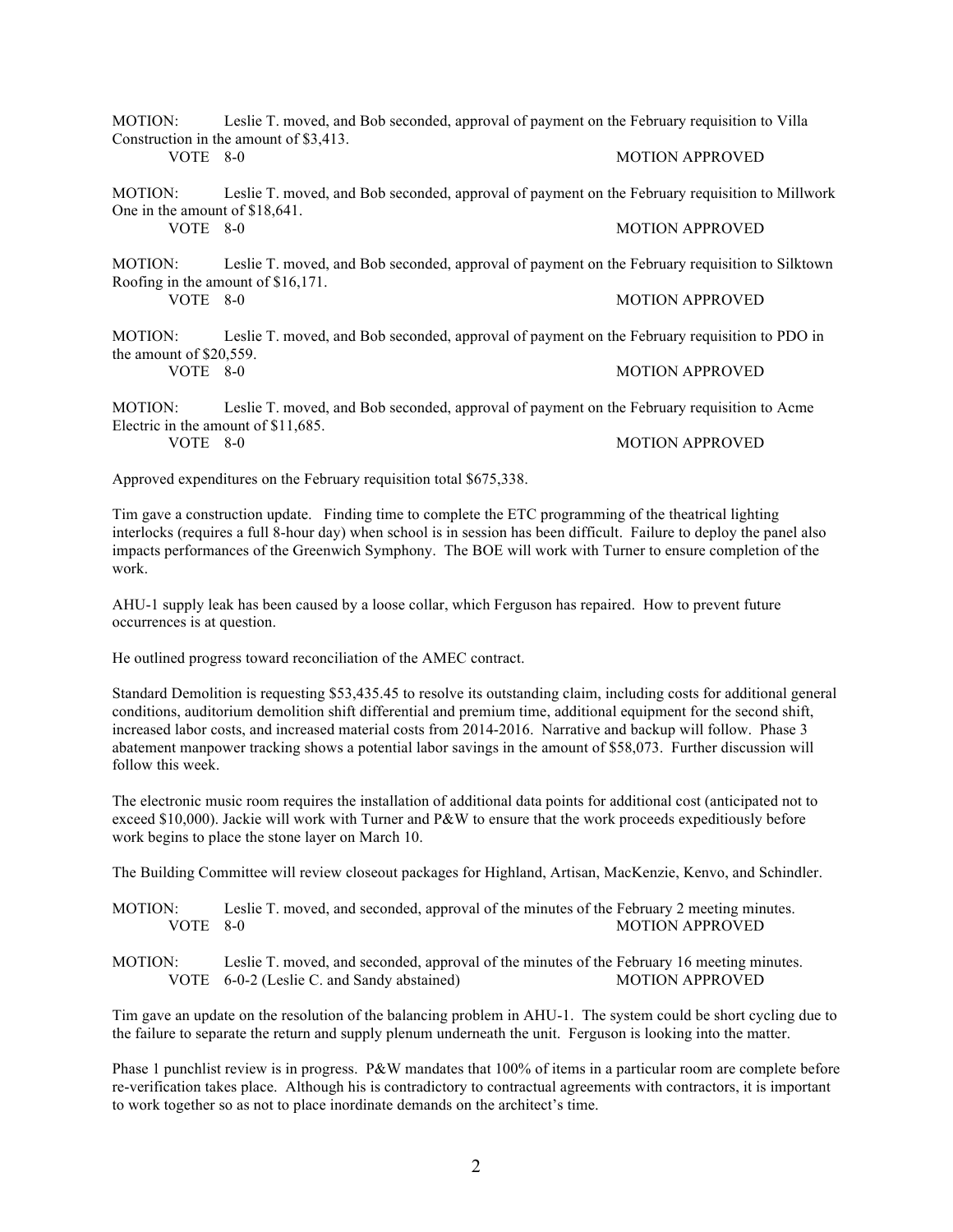MOTION: Leslie T. moved, and Bob seconded, approval of payment on the February requisition to Villa Construction in the amount of \$3,413. VOTE 8-0 MOTION APPROVED

MOTION: Leslie T. moved, and Bob seconded, approval of payment on the February requisition to Millwork One in the amount of \$18,641. VOTE 8-0 MOTION APPROVED

MOTION: Leslie T. moved, and Bob seconded, approval of payment on the February requisition to Silktown Roofing in the amount of \$16,171. VOTE 8-0 MOTION APPROVED

MOTION: Leslie T. moved, and Bob seconded, approval of payment on the February requisition to PDO in the amount of \$20,559. VOTE 8-0 MOTION APPROVED

MOTION: Leslie T. moved, and Bob seconded, approval of payment on the February requisition to Acme Electric in the amount of \$11,685. VOTE 8-0 MOTION APPROVED

Approved expenditures on the February requisition total \$675,338.

Tim gave a construction update. Finding time to complete the ETC programming of the theatrical lighting interlocks (requires a full 8-hour day) when school is in session has been difficult. Failure to deploy the panel also impacts performances of the Greenwich Symphony. The BOE will work with Turner to ensure completion of the work.

AHU-1 supply leak has been caused by a loose collar, which Ferguson has repaired. How to prevent future occurrences is at question.

He outlined progress toward reconciliation of the AMEC contract.

Standard Demolition is requesting \$53,435.45 to resolve its outstanding claim, including costs for additional general conditions, auditorium demolition shift differential and premium time, additional equipment for the second shift, increased labor costs, and increased material costs from 2014-2016. Narrative and backup will follow. Phase 3 abatement manpower tracking shows a potential labor savings in the amount of \$58,073. Further discussion will follow this week.

The electronic music room requires the installation of additional data points for additional cost (anticipated not to exceed \$10,000). Jackie will work with Turner and P&W to ensure that the work proceeds expeditiously before work begins to place the stone layer on March 10.

The Building Committee will review closeout packages for Highland, Artisan, MacKenzie, Kenvo, and Schindler.

MOTION: Leslie T. moved, and seconded, approval of the minutes of the February 2 meeting minutes. VOTE 8-0 MOTION APPROVED

MOTION: Leslie T. moved, and seconded, approval of the minutes of the February 16 meeting minutes. VOTE 6-0-2 (Leslie C. and Sandy abstained) MOTION APPROVED

Tim gave an update on the resolution of the balancing problem in AHU-1. The system could be short cycling due to the failure to separate the return and supply plenum underneath the unit. Ferguson is looking into the matter.

Phase 1 punchlist review is in progress. P&W mandates that 100% of items in a particular room are complete before re-verification takes place. Although his is contradictory to contractual agreements with contractors, it is important to work together so as not to place inordinate demands on the architect's time.